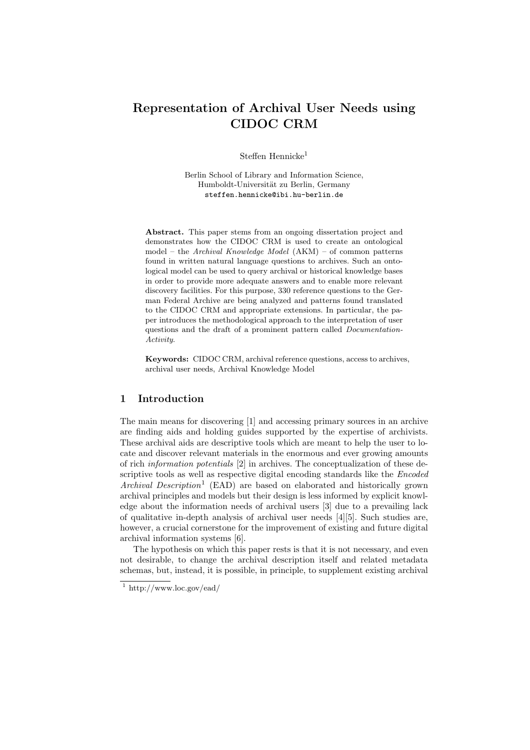# Representation of Archival User Needs using CIDOC CRM

Steffen Hennicke<sup>1</sup>

Berlin School of Library and Information Science, Humboldt-Universität zu Berlin, Germany steffen.hennicke@ibi.hu-berlin.de

Abstract. This paper stems from an ongoing dissertation project and demonstrates how the CIDOC CRM is used to create an ontological model – the Archival Knowledge Model  $(AKM)$  – of common patterns found in written natural language questions to archives. Such an ontological model can be used to query archival or historical knowledge bases in order to provide more adequate answers and to enable more relevant discovery facilities. For this purpose, 330 reference questions to the German Federal Archive are being analyzed and patterns found translated to the CIDOC CRM and appropriate extensions. In particular, the paper introduces the methodological approach to the interpretation of user questions and the draft of a prominent pattern called Documentation-Activity.

Keywords: CIDOC CRM, archival reference questions, access to archives, archival user needs, Archival Knowledge Model

## 1 Introduction

The main means for discovering [1] and accessing primary sources in an archive are finding aids and holding guides supported by the expertise of archivists. These archival aids are descriptive tools which are meant to help the user to locate and discover relevant materials in the enormous and ever growing amounts of rich information potentials [2] in archives. The conceptualization of these descriptive tools as well as respective digital encoding standards like the *Encoded*  $Archival$   $Description<sup>1</sup>$  (EAD) are based on elaborated and historically grown archival principles and models but their design is less informed by explicit knowledge about the information needs of archival users [3] due to a prevailing lack of qualitative in-depth analysis of archival user needs [4][5]. Such studies are, however, a crucial cornerstone for the improvement of existing and future digital archival information systems [6].

The hypothesis on which this paper rests is that it is not necessary, and even not desirable, to change the archival description itself and related metadata schemas, but, instead, it is possible, in principle, to supplement existing archival

 $1$  http://www.loc.gov/ead/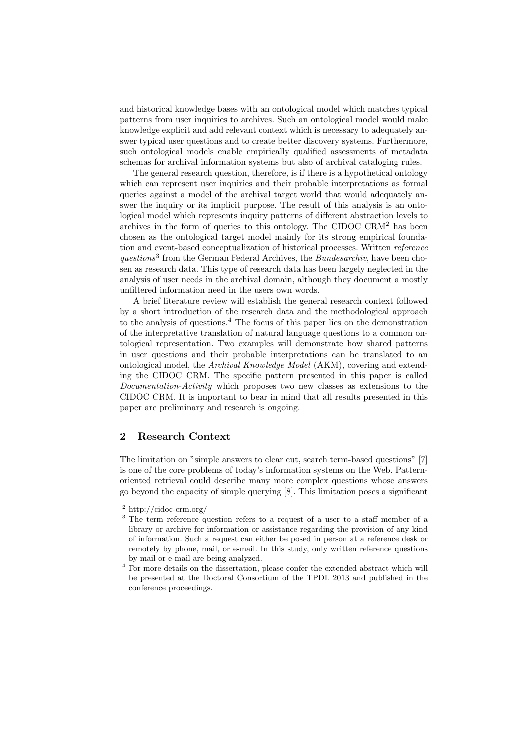and historical knowledge bases with an ontological model which matches typical patterns from user inquiries to archives. Such an ontological model would make knowledge explicit and add relevant context which is necessary to adequately answer typical user questions and to create better discovery systems. Furthermore, such ontological models enable empirically qualified assessments of metadata schemas for archival information systems but also of archival cataloging rules.

The general research question, therefore, is if there is a hypothetical ontology which can represent user inquiries and their probable interpretations as formal queries against a model of the archival target world that would adequately answer the inquiry or its implicit purpose. The result of this analysis is an ontological model which represents inquiry patterns of different abstraction levels to archives in the form of queries to this ontology. The CIDOC CRM<sup>2</sup> has been chosen as the ontological target model mainly for its strong empirical foundation and event-based conceptualization of historical processes. Written reference questions<sup>3</sup> from the German Federal Archives, the Bundesarchiv, have been chosen as research data. This type of research data has been largely neglected in the analysis of user needs in the archival domain, although they document a mostly unfiltered information need in the users own words.

A brief literature review will establish the general research context followed by a short introduction of the research data and the methodological approach to the analysis of questions.<sup>4</sup> The focus of this paper lies on the demonstration of the interpretative translation of natural language questions to a common ontological representation. Two examples will demonstrate how shared patterns in user questions and their probable interpretations can be translated to an ontological model, the Archival Knowledge Model (AKM), covering and extending the CIDOC CRM. The specific pattern presented in this paper is called Documentation-Activity which proposes two new classes as extensions to the CIDOC CRM. It is important to bear in mind that all results presented in this paper are preliminary and research is ongoing.

## 2 Research Context

The limitation on "simple answers to clear cut, search term-based questions" [7] is one of the core problems of today's information systems on the Web. Patternoriented retrieval could describe many more complex questions whose answers go beyond the capacity of simple querying [8]. This limitation poses a significant

 $\sqrt{2}$  http://cidoc-crm.org/

<sup>3</sup> The term reference question refers to a request of a user to a staff member of a library or archive for information or assistance regarding the provision of any kind of information. Such a request can either be posed in person at a reference desk or remotely by phone, mail, or e-mail. In this study, only written reference questions by mail or e-mail are being analyzed.

 $^4$  For more details on the dissertation, please confer the extended abstract which will be presented at the Doctoral Consortium of the TPDL 2013 and published in the conference proceedings.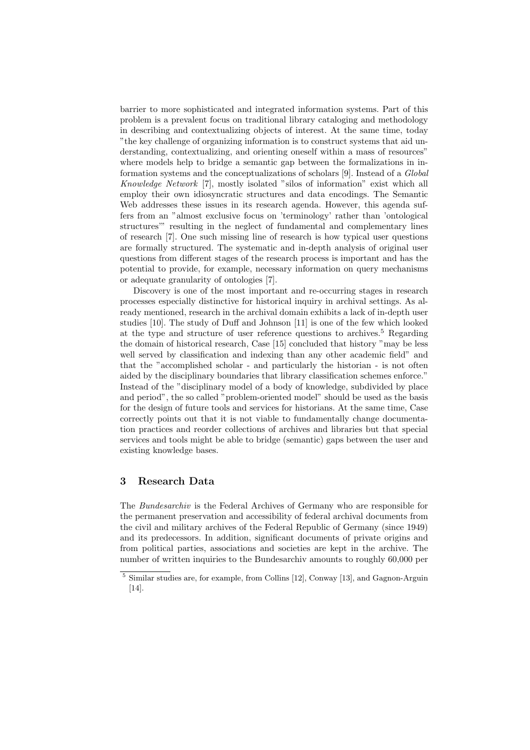barrier to more sophisticated and integrated information systems. Part of this problem is a prevalent focus on traditional library cataloging and methodology in describing and contextualizing objects of interest. At the same time, today "the key challenge of organizing information is to construct systems that aid understanding, contextualizing, and orienting oneself within a mass of resources" where models help to bridge a semantic gap between the formalizations in information systems and the conceptualizations of scholars [9]. Instead of a Global Knowledge Network [7], mostly isolated "silos of information" exist which all employ their own idiosyncratic structures and data encodings. The Semantic Web addresses these issues in its research agenda. However, this agenda suffers from an "almost exclusive focus on 'terminology' rather than 'ontological structures'" resulting in the neglect of fundamental and complementary lines of research [7]. One such missing line of research is how typical user questions are formally structured. The systematic and in-depth analysis of original user questions from different stages of the research process is important and has the potential to provide, for example, necessary information on query mechanisms or adequate granularity of ontologies [7].

Discovery is one of the most important and re-occurring stages in research processes especially distinctive for historical inquiry in archival settings. As already mentioned, research in the archival domain exhibits a lack of in-depth user studies [10]. The study of Duff and Johnson [11] is one of the few which looked at the type and structure of user reference questions to archives.<sup>5</sup> Regarding the domain of historical research, Case [15] concluded that history "may be less well served by classification and indexing than any other academic field" and that the "accomplished scholar - and particularly the historian - is not often aided by the disciplinary boundaries that library classification schemes enforce." Instead of the "disciplinary model of a body of knowledge, subdivided by place and period", the so called "problem-oriented model" should be used as the basis for the design of future tools and services for historians. At the same time, Case correctly points out that it is not viable to fundamentally change documentation practices and reorder collections of archives and libraries but that special services and tools might be able to bridge (semantic) gaps between the user and existing knowledge bases.

## 3 Research Data

The Bundesarchiv is the Federal Archives of Germany who are responsible for the permanent preservation and accessibility of federal archival documents from the civil and military archives of the Federal Republic of Germany (since 1949) and its predecessors. In addition, significant documents of private origins and from political parties, associations and societies are kept in the archive. The number of written inquiries to the Bundesarchiv amounts to roughly 60,000 per

<sup>5</sup> Similar studies are, for example, from Collins [12], Conway [13], and Gagnon-Arguin [14].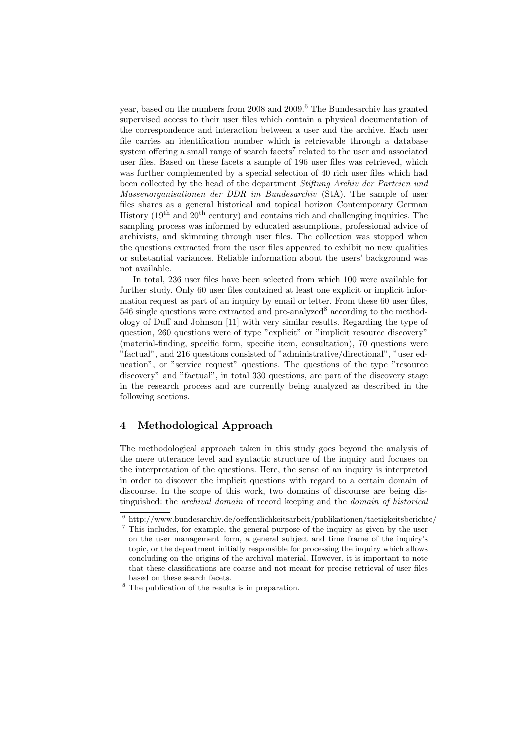year, based on the numbers from 2008 and 2009.<sup>6</sup> The Bundesarchiv has granted supervised access to their user files which contain a physical documentation of the correspondence and interaction between a user and the archive. Each user file carries an identification number which is retrievable through a database system offering a small range of search facets<sup>7</sup> related to the user and associated user files. Based on these facets a sample of 196 user files was retrieved, which was further complemented by a special selection of 40 rich user files which had been collected by the head of the department Stiftung Archiv der Parteien und Massenorganisationen der DDR im Bundesarchiv (StA). The sample of user files shares as a general historical and topical horizon Contemporary German History  $(19<sup>th</sup>$  and  $20<sup>th</sup>$  century) and contains rich and challenging inquiries. The sampling process was informed by educated assumptions, professional advice of archivists, and skimming through user files. The collection was stopped when the questions extracted from the user files appeared to exhibit no new qualities or substantial variances. Reliable information about the users' background was not available.

In total, 236 user files have been selected from which 100 were available for further study. Only 60 user files contained at least one explicit or implicit information request as part of an inquiry by email or letter. From these 60 user files,  $546$  single questions were extracted and pre-analyzed<sup>8</sup> according to the methodology of Duff and Johnson [11] with very similar results. Regarding the type of question, 260 questions were of type "explicit" or "implicit resource discovery" (material-finding, specific form, specific item, consultation), 70 questions were "factual", and 216 questions consisted of "administrative/directional", "user education", or "service request" questions. The questions of the type "resource discovery" and "factual", in total 330 questions, are part of the discovery stage in the research process and are currently being analyzed as described in the following sections.

## 4 Methodological Approach

The methodological approach taken in this study goes beyond the analysis of the mere utterance level and syntactic structure of the inquiry and focuses on the interpretation of the questions. Here, the sense of an inquiry is interpreted in order to discover the implicit questions with regard to a certain domain of discourse. In the scope of this work, two domains of discourse are being distinguished: the archival domain of record keeping and the domain of historical

 $^6$ http://www.bundesarchiv.de/oeffentlichkeitsarbeit/publikationen/taetigkeitsberichte/

<sup>7</sup> This includes, for example, the general purpose of the inquiry as given by the user on the user management form, a general subject and time frame of the inquiry's topic, or the department initially responsible for processing the inquiry which allows concluding on the origins of the archival material. However, it is important to note that these classifications are coarse and not meant for precise retrieval of user files based on these search facets.

<sup>8</sup> The publication of the results is in preparation.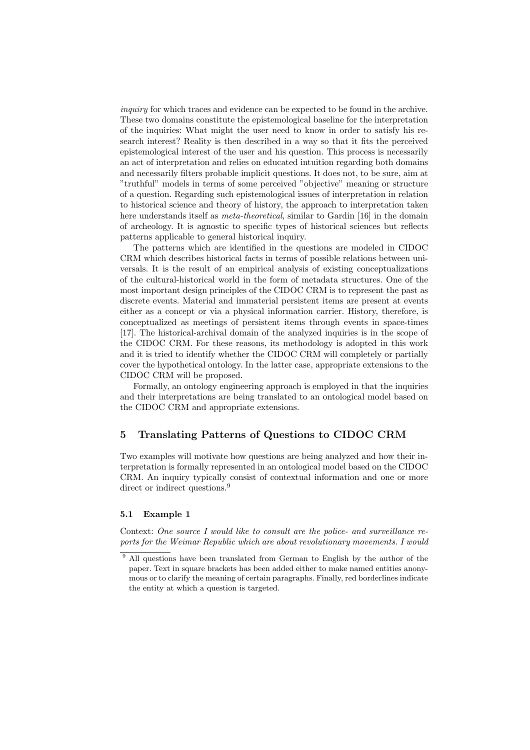inquiry for which traces and evidence can be expected to be found in the archive. These two domains constitute the epistemological baseline for the interpretation of the inquiries: What might the user need to know in order to satisfy his research interest? Reality is then described in a way so that it fits the perceived epistemological interest of the user and his question. This process is necessarily an act of interpretation and relies on educated intuition regarding both domains and necessarily filters probable implicit questions. It does not, to be sure, aim at "truthful" models in terms of some perceived "objective" meaning or structure of a question. Regarding such epistemological issues of interpretation in relation to historical science and theory of history, the approach to interpretation taken here understands itself as *meta-theoretical*, similar to Gardin [16] in the domain of archeology. It is agnostic to specific types of historical sciences but reflects patterns applicable to general historical inquiry.

The patterns which are identified in the questions are modeled in CIDOC CRM which describes historical facts in terms of possible relations between universals. It is the result of an empirical analysis of existing conceptualizations of the cultural-historical world in the form of metadata structures. One of the most important design principles of the CIDOC CRM is to represent the past as discrete events. Material and immaterial persistent items are present at events either as a concept or via a physical information carrier. History, therefore, is conceptualized as meetings of persistent items through events in space-times [17]. The historical-archival domain of the analyzed inquiries is in the scope of the CIDOC CRM. For these reasons, its methodology is adopted in this work and it is tried to identify whether the CIDOC CRM will completely or partially cover the hypothetical ontology. In the latter case, appropriate extensions to the CIDOC CRM will be proposed.

Formally, an ontology engineering approach is employed in that the inquiries and their interpretations are being translated to an ontological model based on the CIDOC CRM and appropriate extensions.

# 5 Translating Patterns of Questions to CIDOC CRM

Two examples will motivate how questions are being analyzed and how their interpretation is formally represented in an ontological model based on the CIDOC CRM. An inquiry typically consist of contextual information and one or more direct or indirect questions.<sup>9</sup>

#### 5.1 Example 1

Context: One source I would like to consult are the police- and surveillance reports for the Weimar Republic which are about revolutionary movements. I would

<sup>&</sup>lt;sup>9</sup> All questions have been translated from German to English by the author of the paper. Text in square brackets has been added either to make named entities anonymous or to clarify the meaning of certain paragraphs. Finally, red borderlines indicate the entity at which a question is targeted.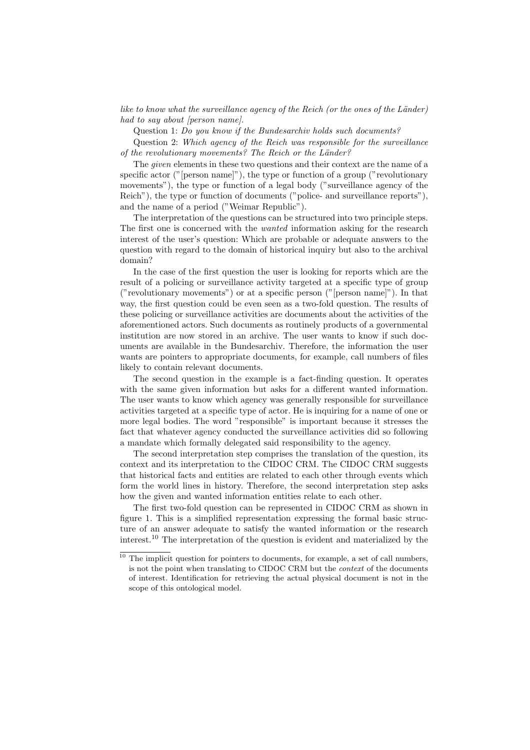like to know what the surveillance agency of the Reich (or the ones of the Länder) had to say about [person name].

Question 1: Do you know if the Bundesarchiv holds such documents?

Question 2: Which agency of the Reich was responsible for the surveillance of the revolutionary movements? The Reich or the Länder?

The given elements in these two questions and their context are the name of a specific actor ("[person name]"), the type or function of a group ("revolutionary movements"), the type or function of a legal body ("surveillance agency of the Reich"), the type or function of documents ("police- and surveillance reports"), and the name of a period ("Weimar Republic").

The interpretation of the questions can be structured into two principle steps. The first one is concerned with the *wanted* information asking for the research interest of the user's question: Which are probable or adequate answers to the question with regard to the domain of historical inquiry but also to the archival domain?

In the case of the first question the user is looking for reports which are the result of a policing or surveillance activity targeted at a specific type of group ("revolutionary movements") or at a specific person ("[person name]"). In that way, the first question could be even seen as a two-fold question. The results of these policing or surveillance activities are documents about the activities of the aforementioned actors. Such documents as routinely products of a governmental institution are now stored in an archive. The user wants to know if such documents are available in the Bundesarchiv. Therefore, the information the user wants are pointers to appropriate documents, for example, call numbers of files likely to contain relevant documents.

The second question in the example is a fact-finding question. It operates with the same given information but asks for a different wanted information. The user wants to know which agency was generally responsible for surveillance activities targeted at a specific type of actor. He is inquiring for a name of one or more legal bodies. The word "responsible" is important because it stresses the fact that whatever agency conducted the surveillance activities did so following a mandate which formally delegated said responsibility to the agency.

The second interpretation step comprises the translation of the question, its context and its interpretation to the CIDOC CRM. The CIDOC CRM suggests that historical facts and entities are related to each other through events which form the world lines in history. Therefore, the second interpretation step asks how the given and wanted information entities relate to each other.

The first two-fold question can be represented in CIDOC CRM as shown in figure 1. This is a simplified representation expressing the formal basic structure of an answer adequate to satisfy the wanted information or the research interest.<sup>10</sup> The interpretation of the question is evident and materialized by the

 $10$  The implicit question for pointers to documents, for example, a set of call numbers, is not the point when translating to CIDOC CRM but the context of the documents of interest. Identification for retrieving the actual physical document is not in the scope of this ontological model.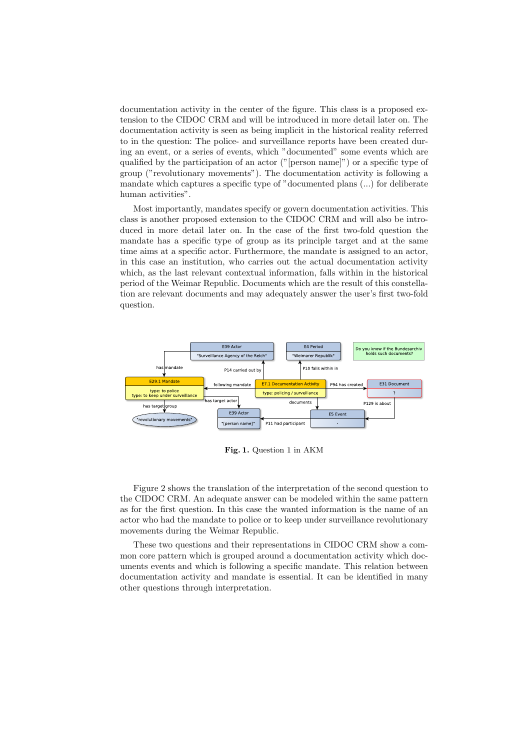documentation activity in the center of the figure. This class is a proposed extension to the CIDOC CRM and will be introduced in more detail later on. The documentation activity is seen as being implicit in the historical reality referred to in the question: The police- and surveillance reports have been created during an event, or a series of events, which "documented" some events which are qualified by the participation of an actor ("[person name]") or a specific type of group ("revolutionary movements"). The documentation activity is following a mandate which captures a specific type of "documented plans (...) for deliberate human activities".

Most importantly, mandates specify or govern documentation activities. This class is another proposed extension to the CIDOC CRM and will also be introduced in more detail later on. In the case of the first two-fold question the mandate has a specific type of group as its principle target and at the same time aims at a specific actor. Furthermore, the mandate is assigned to an actor, in this case an institution, who carries out the actual documentation activity which, as the last relevant contextual information, falls within in the historical period of the Weimar Republic. Documents which are the result of this constellation are relevant documents and may adequately answer the user's first two-fold question.



Fig. 1. Question 1 in AKM

Figure 2 shows the translation of the interpretation of the second question to the CIDOC CRM. An adequate answer can be modeled within the same pattern as for the first question. In this case the wanted information is the name of an actor who had the mandate to police or to keep under surveillance revolutionary movements during the Weimar Republic.

These two questions and their representations in CIDOC CRM show a common core pattern which is grouped around a documentation activity which documents events and which is following a specific mandate. This relation between documentation activity and mandate is essential. It can be identified in many other questions through interpretation.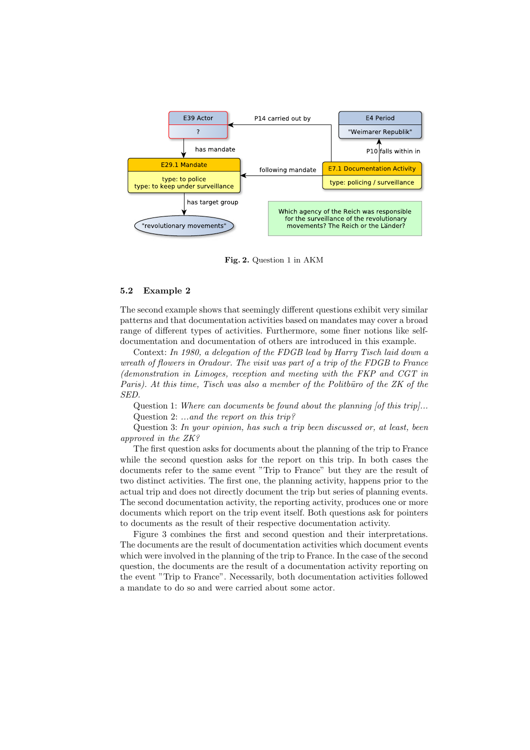

Fig. 2. Question 1 in AKM

#### 5.2 Example 2

The second example shows that seemingly different questions exhibit very similar patterns and that documentation activities based on mandates may cover a broad range of different types of activities. Furthermore, some finer notions like selfdocumentation and documentation of others are introduced in this example.

Context: In 1980, a delegation of the FDGB lead by Harry Tisch laid down a wreath of flowers in Oradour. The visit was part of a trip of the FDGB to France (demonstration in Limoges, reception and meeting with the FKP and CGT in Paris). At this time, Tisch was also a member of the Politbüro of the  $ZK$  of the SED.

Question 1: Where can documents be found about the planning [of this trip]... Question 2: ...and the report on this trip?

Question 3: In your opinion, has such a trip been discussed or, at least, been approved in the ZK?

The first question asks for documents about the planning of the trip to France while the second question asks for the report on this trip. In both cases the documents refer to the same event "Trip to France" but they are the result of two distinct activities. The first one, the planning activity, happens prior to the actual trip and does not directly document the trip but series of planning events. The second documentation activity, the reporting activity, produces one or more documents which report on the trip event itself. Both questions ask for pointers to documents as the result of their respective documentation activity.

Figure 3 combines the first and second question and their interpretations. The documents are the result of documentation activities which document events which were involved in the planning of the trip to France. In the case of the second question, the documents are the result of a documentation activity reporting on the event "Trip to France". Necessarily, both documentation activities followed a mandate to do so and were carried about some actor.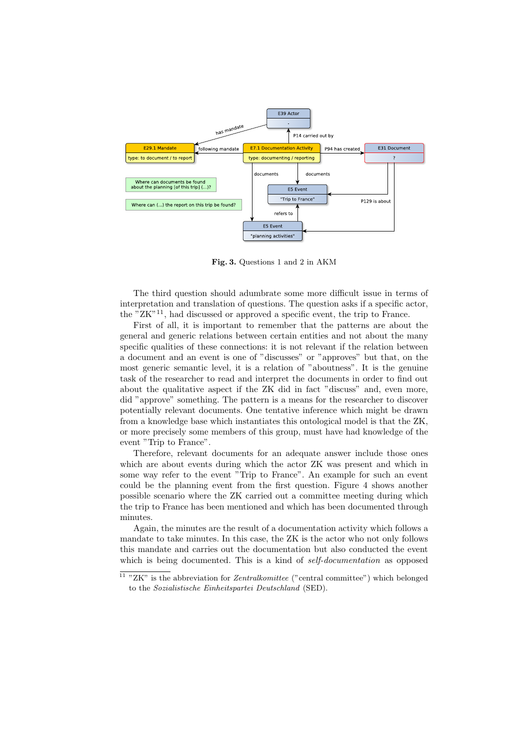

Fig. 3. Questions 1 and 2 in AKM

The third question should adumbrate some more difficult issue in terms of interpretation and translation of questions. The question asks if a specific actor, the "ZK"<sup>11</sup>, had discussed or approved a specific event, the trip to France.

First of all, it is important to remember that the patterns are about the general and generic relations between certain entities and not about the many specific qualities of these connections: it is not relevant if the relation between a document and an event is one of "discusses" or "approves" but that, on the most generic semantic level, it is a relation of "aboutness". It is the genuine task of the researcher to read and interpret the documents in order to find out about the qualitative aspect if the ZK did in fact "discuss" and, even more, did "approve" something. The pattern is a means for the researcher to discover potentially relevant documents. One tentative inference which might be drawn from a knowledge base which instantiates this ontological model is that the ZK, or more precisely some members of this group, must have had knowledge of the event "Trip to France".

Therefore, relevant documents for an adequate answer include those ones which are about events during which the actor ZK was present and which in some way refer to the event "Trip to France". An example for such an event could be the planning event from the first question. Figure 4 shows another possible scenario where the ZK carried out a committee meeting during which the trip to France has been mentioned and which has been documented through minutes.

Again, the minutes are the result of a documentation activity which follows a mandate to take minutes. In this case, the ZK is the actor who not only follows this mandate and carries out the documentation but also conducted the event which is being documented. This is a kind of *self-documentation* as opposed

<sup>&</sup>lt;sup>11</sup> "ZK" is the abbreviation for *Zentralkomittee* ("central committee") which belonged to the Sozialistische Einheitspartei Deutschland (SED).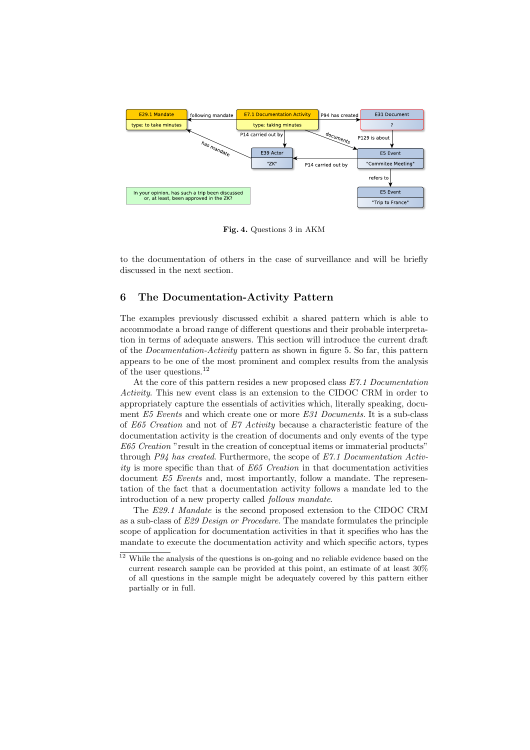

Fig. 4. Questions 3 in AKM

to the documentation of others in the case of surveillance and will be briefly discussed in the next section.

## 6 The Documentation-Activity Pattern

The examples previously discussed exhibit a shared pattern which is able to accommodate a broad range of different questions and their probable interpretation in terms of adequate answers. This section will introduce the current draft of the Documentation-Activity pattern as shown in figure 5. So far, this pattern appears to be one of the most prominent and complex results from the analysis of the user questions.<sup>12</sup>

At the core of this pattern resides a new proposed class  $E\mathcal{T}$ .1 Documentation Activity. This new event class is an extension to the CIDOC CRM in order to appropriately capture the essentials of activities which, literally speaking, document E5 Events and which create one or more E31 Documents. It is a sub-class of E65 Creation and not of E7 Activity because a characteristic feature of the documentation activity is the creation of documents and only events of the type E65 Creation "result in the creation of conceptual items or immaterial products" through P94 has created. Furthermore, the scope of  $E7.1$  Documentation Activity is more specific than that of  $E65$  Creation in that documentation activities document E5 Events and, most importantly, follow a mandate. The representation of the fact that a documentation activity follows a mandate led to the introduction of a new property called follows mandate.

The E29.1 Mandate is the second proposed extension to the CIDOC CRM as a sub-class of E29 Design or Procedure. The mandate formulates the principle scope of application for documentation activities in that it specifies who has the mandate to execute the documentation activity and which specific actors, types

<sup>&</sup>lt;sup>12</sup> While the analysis of the questions is on-going and no reliable evidence based on the current research sample can be provided at this point, an estimate of at least 30% of all questions in the sample might be adequately covered by this pattern either partially or in full.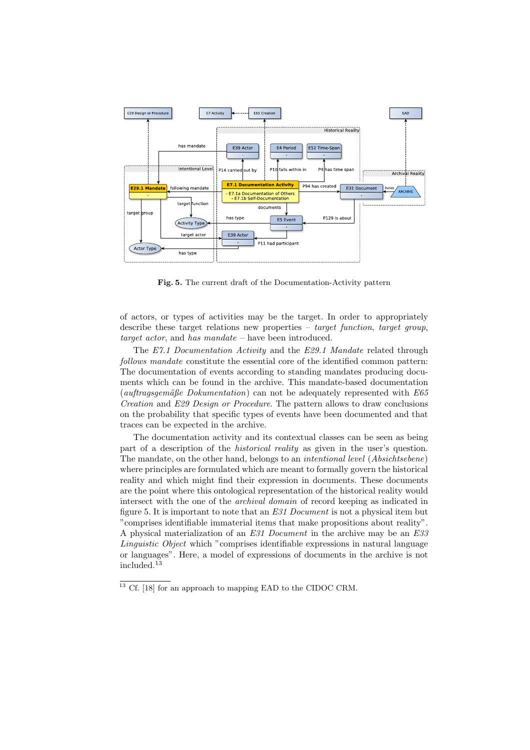

Fig. 5. The current draft of the Documentation-Activity pattern

of actors, or types of activities may be the target. In order to appropriately describe these target relations new properties – target function, target group, target actor, and has mandate – have been introduced.

The E7.1 Documentation Activity and the E29.1 Mandate related through follows mandate constitute the essential core of the identified common pattern: The documentation of events according to standing mandates producing documents which can be found in the archive. This mandate-based documentation (auftragsgemäße Dokumentation) can not be adequately represented with  $E65$ Creation and E29 Design or Procedure. The pattern allows to draw conclusions on the probability that specific types of events have been documented and that traces can be expected in the archive.

The documentation activity and its contextual classes can be seen as being part of a description of the historical reality as given in the user's question. The mandate, on the other hand, belongs to an intentional level (Absichtsebene) where principles are formulated which are meant to formally govern the historical reality and which might find their expression in documents. These documents are the point where this ontological representation of the historical reality would intersect with the one of the archival domain of record keeping as indicated in figure 5. It is important to note that an E31 Document is not a physical item but "comprises identifiable immaterial items that make propositions about reality". A physical materialization of an E31 Document in the archive may be an E33 Linguistic Object which "comprises identifiable expressions in natural language or languages". Here, a model of expressions of documents in the archive is not included.<sup>13</sup>

 $^{13}$  Cf. [18] for an approach to mapping EAD to the CIDOC CRM.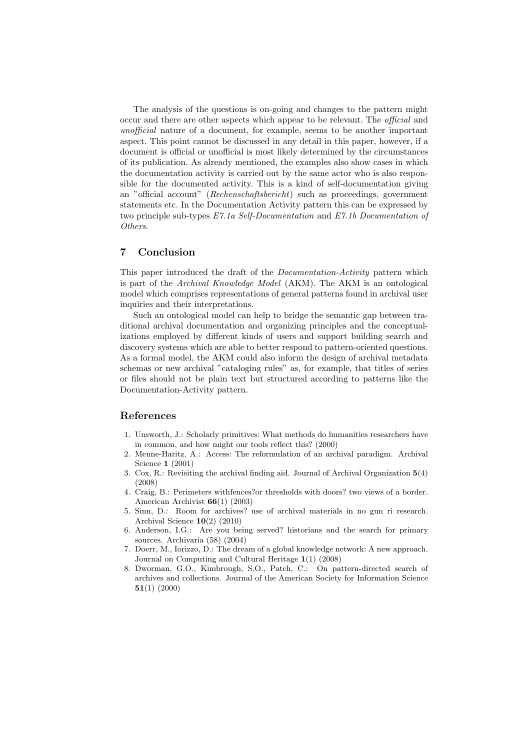The analysis of the questions is on-going and changes to the pattern might occur and there are other aspects which appear to be relevant. The official and unofficial nature of a document, for example, seems to be another important aspect. This point cannot be discussed in any detail in this paper, however, if a document is official or unofficial is most likely determined by the circumstances of its publication. As already mentioned, the examples also show cases in which the documentation activity is carried out by the same actor who is also responsible for the documented activity. This is a kind of self-documentation giving an "official account" (Rechenschaftsbericht) such as proceedings, government statements etc. In the Documentation Activity pattern this can be expressed by two principle sub-types E7.1a Self-Documentation and E7.1b Documentation of Others.

### 7 Conclusion

This paper introduced the draft of the *Documentation-Activity* pattern which is part of the Archival Knowledge Model (AKM). The AKM is an ontological model which comprises representations of general patterns found in archival user inquiries and their interpretations.

Such an ontological model can help to bridge the semantic gap between traditional archival documentation and organizing principles and the conceptualizations employed by different kinds of users and support building search and discovery systems which are able to better respond to pattern-oriented questions. As a formal model, the AKM could also inform the design of archival metadata schemas or new archival "cataloging rules" as, for example, that titles of series or files should not be plain text but structured according to patterns like the Documentation-Activity pattern.

## References

- 1. Unsworth, J.: Scholarly primitives: What methods do humanities researchers have in common, and how might our tools reflect this? (2000)
- 2. Menne-Haritz, A.: Access: The reformulation of an archival paradigm. Archival Science 1 (2001)
- 3. Cox, R.: Revisiting the archival finding aid. Journal of Archival Organization 5(4) (2008)
- 4. Craig, B.: Perimeters withfences?or thresholds with doors? two views of a border. American Archivist 66(1) (2003)
- 5. Sinn, D.: Room for archives? use of archival materials in no gun ri research. Archival Science 10(2) (2010)
- 6. Anderson, I.G.: Are you being served? historians and the search for primary sources. Archivaria (58) (2004)
- 7. Doerr, M., Iorizzo, D.: The dream of a global knowledge network: A new approach. Journal on Computing and Cultural Heritage 1(1) (2008)
- 8. Dworman, G.O., Kimbrough, S.O., Patch, C.: On pattern-directed search of archives and collections. Journal of the American Society for Information Science 51(1) (2000)